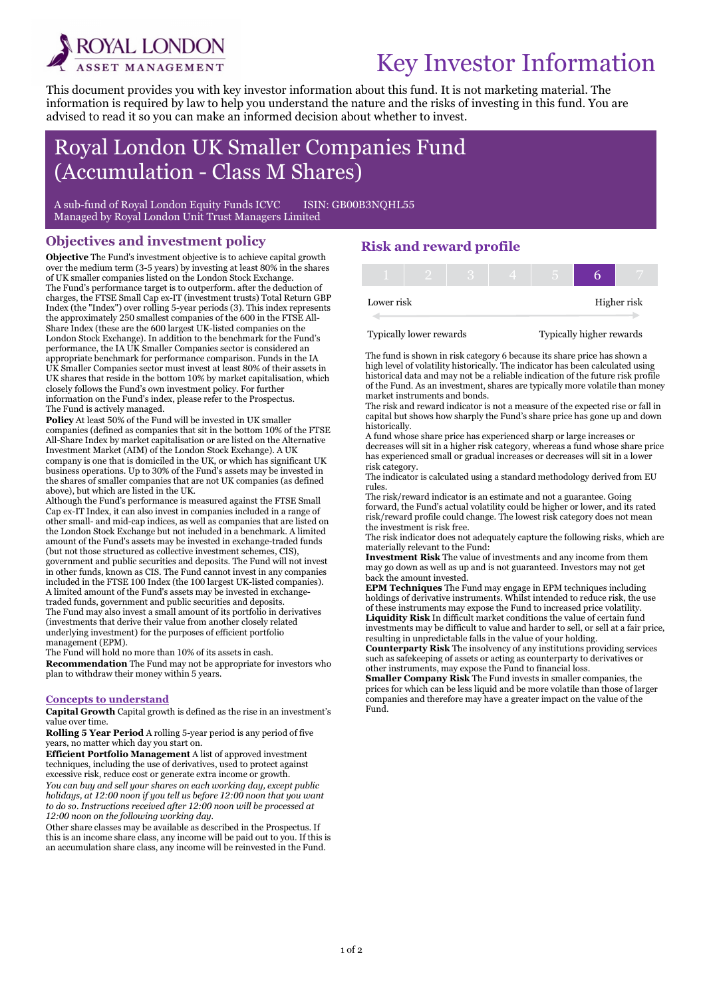

i

# Key Investor Information

This document provides you with key investor information about this fund. It is not marketing material. The information is required by law to help you understand the nature and the risks of investing in this fund. You are advised to read it so you can make an informed decision about whether to invest.

## Royal London UK Smaller Companies Fund (Accumulation - Class M Shares)

A sub-fund of Royal London Equity Funds ICVC ISIN: GB00B3NQHL55 Managed by Royal London Unit Trust Managers Limited

#### Objectives and investment policy

Objective The Fund's investment objective is to achieve capital growth over the medium term (3-5 years) by investing at least 80% in the shares of UK smaller companies listed on the London Stock Exchange. The Fund's performance target is to outperform. after the deduction of charges, the FTSE Small Cap ex-IT (investment trusts) Total Return GBP Index (the "Index") over rolling 5-year periods (3). This index represents the approximately 250 smallest companies of the 600 in the FTSE All-Share Index (these are the 600 largest UK-listed companies on the London Stock Exchange). In addition to the benchmark for the Fund's performance, the IA UK Smaller Companies sector is considered an appropriate benchmark for performance comparison. Funds in the IA UK Smaller Companies sector must invest at least 80% of their assets in UK shares that reside in the bottom 10% by market capitalisation, which closely follows the Fund's own investment policy. For further information on the Fund's index, please refer to the Prospectus. The Fund is actively managed.

Policy At least 50% of the Fund will be invested in UK smaller companies (defined as companies that sit in the bottom 10% of the FTSE All-Share Index by market capitalisation or are listed on the Alternative Investment Market (AIM) of the London Stock Exchange). A UK company is one that is domiciled in the UK, or which has significant UK business operations. Up to 30% of the Fund's assets may be invested in the shares of smaller companies that are not UK companies (as defined above), but which are listed in the UK.

Although the Fund's performance is measured against the FTSE Small Cap ex-IT Index, it can also invest in companies included in a range of other small- and mid-cap indices, as well as companies that are listed on the London Stock Exchange but not included in a benchmark. A limited amount of the Fund's assets may be invested in exchange-traded funds (but not those structured as collective investment schemes, CIS), government and public securities and deposits. The Fund will not invest in other funds, known as CIS. The Fund cannot invest in any companies included in the FTSE 100 Index (the 100 largest UK-listed companies). A limited amount of the Fund's assets may be invested in exchangetraded funds, government and public securities and deposits. The Fund may also invest a small amount of its portfolio in derivatives (investments that derive their value from another closely related underlying investment) for the purposes of efficient portfolio management (EPM).

The Fund will hold no more than 10% of its assets in cash. Recommendation The Fund may not be appropriate for investors who plan to withdraw their money within 5 years.

#### Concepts to understand

Capital Growth Capital growth is defined as the rise in an investment's value over time.

Rolling 5 Year Period A rolling 5-year period is any period of five years, no matter which day you start on.

Efficient Portfolio Management A list of approved investment techniques, including the use of derivatives, used to protect against excessive risk, reduce cost or generate extra income or growth.

You can buy and sell your shares on each working day, except public holidays, at 12:00 noon if you tell us before 12:00 noon that you want to do so. Instructions received after 12:00 noon will be processed at 12:00 noon on the following working day.

Other share classes may be available as described in the Prospectus. If this is an income share class, any income will be paid out to you. If this is an accumulation share class, any income will be reinvested in the Fund.

#### Risk and reward profile

| Lower risk |  |  |  | Higher risk |
|------------|--|--|--|-------------|

Typically lower rewards Typically higher rewards

The fund is shown in risk category 6 because its share price has shown a high level of volatility historically. The indicator has been calculated using historical data and may not be a reliable indication of the future risk profile of the Fund. As an investment, shares are typically more volatile than money market instruments and bonds.

The risk and reward indicator is not a measure of the expected rise or fall in capital but shows how sharply the Fund's share price has gone up and down historically.

A fund whose share price has experienced sharp or large increases or decreases will sit in a higher risk category, whereas a fund whose share price has experienced small or gradual increases or decreases will sit in a lower risk category.

The indicator is calculated using a standard methodology derived from EU rules.

The risk/reward indicator is an estimate and not a guarantee. Going forward, the Fund's actual volatility could be higher or lower, and its rated risk/reward profile could change. The lowest risk category does not mean the investment is risk free.

The risk indicator does not adequately capture the following risks, which are materially relevant to the Fund:

Investment Risk The value of investments and any income from them may go down as well as up and is not guaranteed. Investors may not get back the amount invested.

EPM Techniques The Fund may engage in EPM techniques including holdings of derivative instruments. Whilst intended to reduce risk, the use of these instruments may expose the Fund to increased price volatility. Liquidity Risk In difficult market conditions the value of certain fund investments may be difficult to value and harder to sell, or sell at a fair price, resulting in unpredictable falls in the value of your holding.

Counterparty Risk The insolvency of any institutions providing services such as safekeeping of assets or acting as counterparty to derivatives or other instruments, may expose the Fund to financial loss.

Smaller Company Risk The Fund invests in smaller companies, the prices for which can be less liquid and be more volatile than those of larger companies and therefore may have a greater impact on the value of the Fund.